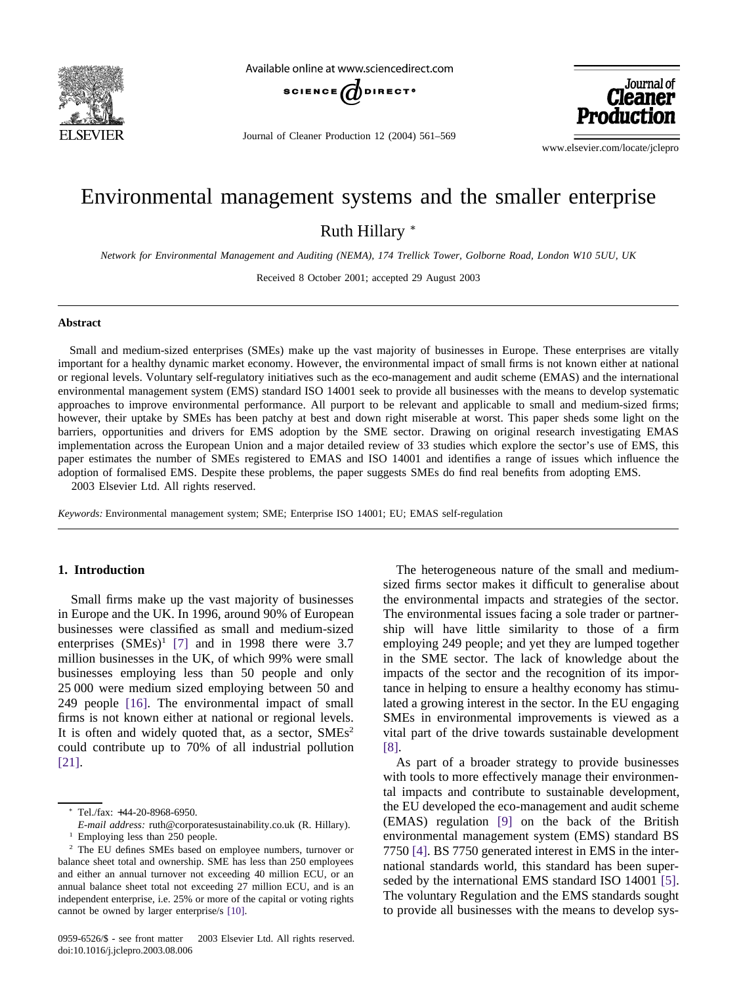

Available online at www.sciencedirect.com



Journal of Cleaner Production 12 (2004) 561–569

Journal of **Cleaner** 

www.elsevier.com/locate/jclepro

# Environmental management systems and the smaller enterprise

Ruth Hillary <sup>∗</sup>

*Network for Environmental Management and Auditing (NEMA), 174 Trellick Tower, Golborne Road, London W10 5UU, UK*

Received 8 October 2001; accepted 29 August 2003

#### **Abstract**

Small and medium-sized enterprises (SMEs) make up the vast majority of businesses in Europe. These enterprises are vitally important for a healthy dynamic market economy. However, the environmental impact of small firms is not known either at national or regional levels. Voluntary self-regulatory initiatives such as the eco-management and audit scheme (EMAS) and the international environmental management system (EMS) standard ISO 14001 seek to provide all businesses with the means to develop systematic approaches to improve environmental performance. All purport to be relevant and applicable to small and medium-sized firms; however, their uptake by SMEs has been patchy at best and down right miserable at worst. This paper sheds some light on the barriers, opportunities and drivers for EMS adoption by the SME sector. Drawing on original research investigating EMAS implementation across the European Union and a major detailed review of 33 studies which explore the sector's use of EMS, this paper estimates the number of SMEs registered to EMAS and ISO 14001 and identifies a range of issues which influence the adoption of formalised EMS. Despite these problems, the paper suggests SMEs do find real benefits from adopting EMS. 2003 Elsevier Ltd. All rights reserved.

*Keywords:* Environmental management system; SME; Enterprise ISO 14001; EU; EMAS self-regulation

## **1. Introduction**

Small firms make up the vast majority of businesses in Europe and the UK. In 1996, around 90% of European businesses were classified as small and medium-sized enterprises  $(SMEs)^1$  [\[7\]](#page--1-0) and in 1998 there were 3.7 million businesses in the UK, of which 99% were small businesses employing less than 50 people and only 25 000 were medium sized employing between 50 and 249 people [\[16\].](#page--1-0) The environmental impact of small firms is not known either at national or regional levels. It is often and widely quoted that, as a sector,  $SMEs<sup>2</sup>$ could contribute up to 70% of all industrial pollution [\[21\].](#page--1-0)

The heterogeneous nature of the small and mediumsized firms sector makes it difficult to generalise about the environmental impacts and strategies of the sector. The environmental issues facing a sole trader or partnership will have little similarity to those of a firm employing 249 people; and yet they are lumped together in the SME sector. The lack of knowledge about the impacts of the sector and the recognition of its importance in helping to ensure a healthy economy has stimulated a growing interest in the sector. In the EU engaging SMEs in environmental improvements is viewed as a vital part of the drive towards sustainable development [\[8\].](#page--1-0)

As part of a broader strategy to provide businesses with tools to more effectively manage their environmental impacts and contribute to sustainable development, the EU developed the eco-management and audit scheme (EMAS) regulation [\[9\]](#page--1-0) on the back of the British environmental management system (EMS) standard BS 7750 [\[4\].](#page--1-0) BS 7750 generated interest in EMS in the international standards world, this standard has been superseded by the international EMS standard ISO 14001 [\[5\].](#page--1-0) The voluntary Regulation and the EMS standards sought to provide all businesses with the means to develop sys-

<sup>∗</sup> Tel./fax: +44-20-8968-6950.

*E-mail address:* ruth@corporatesustainability.co.uk (R. Hillary).

<sup>&</sup>lt;sup>1</sup> Employing less than 250 people.

<sup>2</sup> The EU defines SMEs based on employee numbers, turnover or balance sheet total and ownership. SME has less than 250 employees and either an annual turnover not exceeding 40 million ECU, or an annual balance sheet total not exceeding 27 million ECU, and is an independent enterprise, i.e. 25% or more of the capital or voting rights cannot be owned by larger enterprise/s [\[10\].](#page--1-0)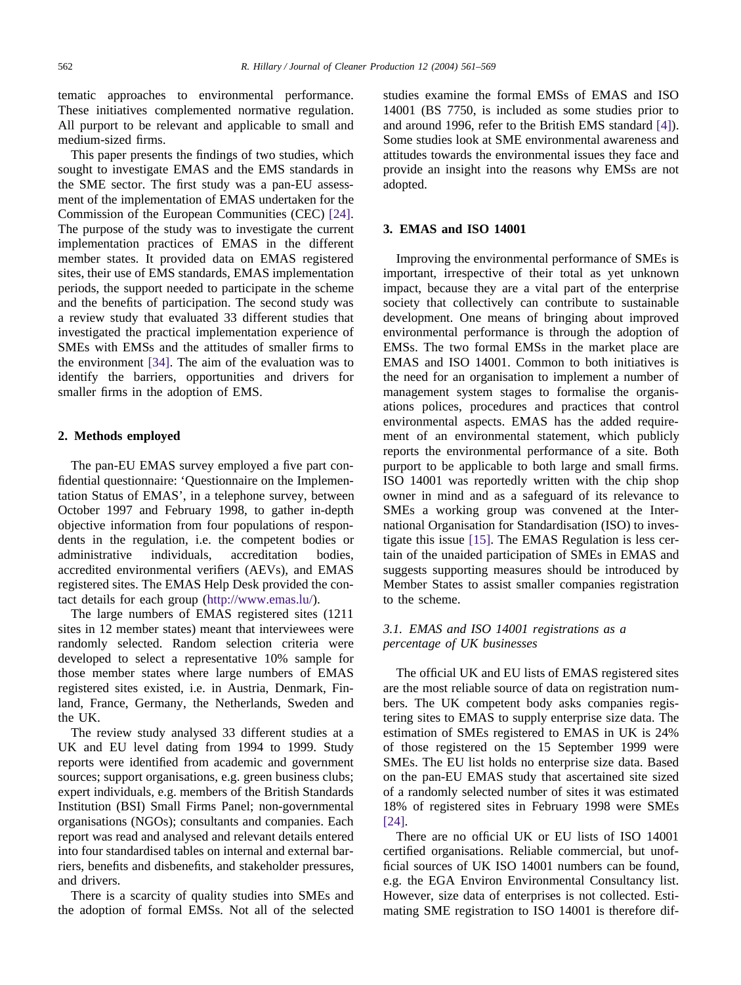tematic approaches to environmental performance. These initiatives complemented normative regulation. All purport to be relevant and applicable to small and medium-sized firms.

This paper presents the findings of two studies, which sought to investigate EMAS and the EMS standards in the SME sector. The first study was a pan-EU assessment of the implementation of EMAS undertaken for the Commission of the European Communities (CEC) [\[24\].](#page--1-0) The purpose of the study was to investigate the current implementation practices of EMAS in the different member states. It provided data on EMAS registered sites, their use of EMS standards, EMAS implementation periods, the support needed to participate in the scheme and the benefits of participation. The second study was a review study that evaluated 33 different studies that investigated the practical implementation experience of SMEs with EMSs and the attitudes of smaller firms to the environment [\[34\].](#page--1-0) The aim of the evaluation was to identify the barriers, opportunities and drivers for smaller firms in the adoption of EMS.

#### **2. Methods employed**

The pan-EU EMAS survey employed a five part confidential questionnaire: 'Questionnaire on the Implementation Status of EMAS', in a telephone survey, between October 1997 and February 1998, to gather in-depth objective information from four populations of respondents in the regulation, i.e. the competent bodies or administrative individuals, accreditation bodies, accredited environmental verifiers (AEVs), and EMAS registered sites. The EMAS Help Desk provided the contact details for each group [\(http://www.emas.lu/\)](http://www.emas.lu/).

The large numbers of EMAS registered sites (1211 sites in 12 member states) meant that interviewees were randomly selected. Random selection criteria were developed to select a representative 10% sample for those member states where large numbers of EMAS registered sites existed, i.e. in Austria, Denmark, Finland, France, Germany, the Netherlands, Sweden and the UK.

The review study analysed 33 different studies at a UK and EU level dating from 1994 to 1999. Study reports were identified from academic and government sources; support organisations, e.g. green business clubs; expert individuals, e.g. members of the British Standards Institution (BSI) Small Firms Panel; non-governmental organisations (NGOs); consultants and companies. Each report was read and analysed and relevant details entered into four standardised tables on internal and external barriers, benefits and disbenefits, and stakeholder pressures, and drivers.

There is a scarcity of quality studies into SMEs and the adoption of formal EMSs. Not all of the selected studies examine the formal EMSs of EMAS and ISO 14001 (BS 7750, is included as some studies prior to and around 1996, refer to the British EMS standard [\[4\]\)](#page--1-0). Some studies look at SME environmental awareness and attitudes towards the environmental issues they face and provide an insight into the reasons why EMSs are not adopted.

#### **3. EMAS and ISO 14001**

Improving the environmental performance of SMEs is important, irrespective of their total as yet unknown impact, because they are a vital part of the enterprise society that collectively can contribute to sustainable development. One means of bringing about improved environmental performance is through the adoption of EMSs. The two formal EMSs in the market place are EMAS and ISO 14001. Common to both initiatives is the need for an organisation to implement a number of management system stages to formalise the organisations polices, procedures and practices that control environmental aspects. EMAS has the added requirement of an environmental statement, which publicly reports the environmental performance of a site. Both purport to be applicable to both large and small firms. ISO 14001 was reportedly written with the chip shop owner in mind and as a safeguard of its relevance to SMEs a working group was convened at the International Organisation for Standardisation (ISO) to investigate this issue [\[15\].](#page--1-0) The EMAS Regulation is less certain of the unaided participation of SMEs in EMAS and suggests supporting measures should be introduced by Member States to assist smaller companies registration to the scheme.

## *3.1. EMAS and ISO 14001 registrations as a percentage of UK businesses*

The official UK and EU lists of EMAS registered sites are the most reliable source of data on registration numbers. The UK competent body asks companies registering sites to EMAS to supply enterprise size data. The estimation of SMEs registered to EMAS in UK is 24% of those registered on the 15 September 1999 were SMEs. The EU list holds no enterprise size data. Based on the pan-EU EMAS study that ascertained site sized of a randomly selected number of sites it was estimated 18% of registered sites in February 1998 were SMEs [\[24\].](#page--1-0)

There are no official UK or EU lists of ISO 14001 certified organisations. Reliable commercial, but unofficial sources of UK ISO 14001 numbers can be found, e.g. the EGA Environ Environmental Consultancy list. However, size data of enterprises is not collected. Estimating SME registration to ISO 14001 is therefore dif-